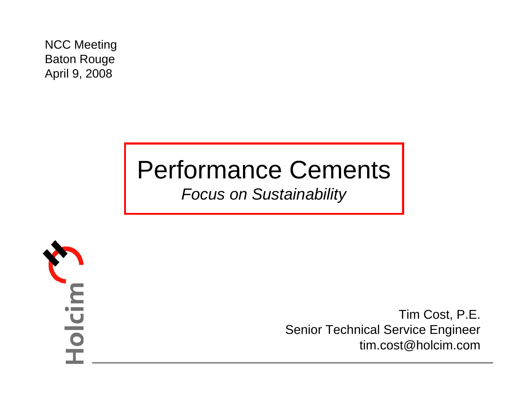NCC Meeting Baton Rouge April 9, 2008

# Performance Cements

*Focus on Sustainability*



Tim Cost, P.E. Senior Technical Service Engineer tim.cost@holcim.com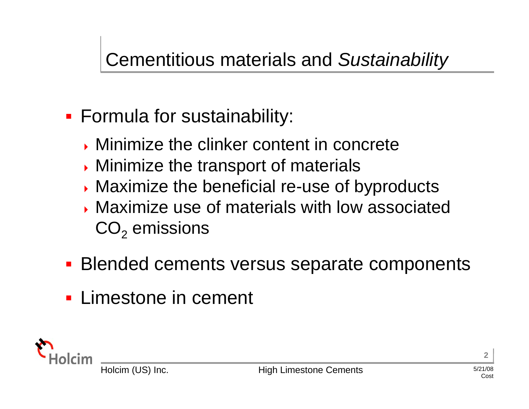# Cementitious materials and *Sustainability*

- Formula for sustainability:
	- **Minimize the clinker content in concrete**
	- **Minimize the transport of materials**
	- **Maximize the beneficial re-use of byproducts**
	- Maximize use of materials with low associated  $\mathsf{CO}_2$  emissions
- **Blended cements versus separate components**
- **Limestone in cement**

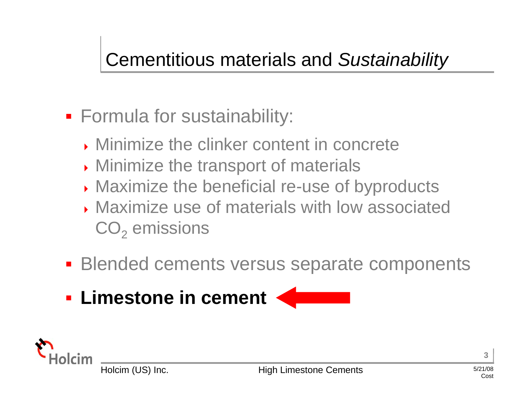# Cementitious materials and *Sustainability*

- **Formula for sustainability:** 
	- **Minimize the clinker content in concrete**
	- **Minimize the transport of materials**
	- **Maximize the beneficial re-use of byproducts**
	- ▶ Maximize use of materials with low associated  $\mathsf{CO}_2$  emissions
- **Blended cements versus separate components**
- **Limestone in cement**

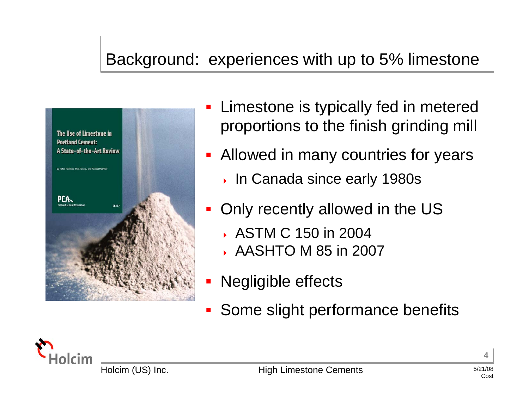### Background: experiences with up to 5% limestone



- F Limestone is typically fed in metered proportions to the finish grinding mill
- **Allowed in many countries for years** 
	- In Canada since early 1980s
- F Only recently allowed in the US
	- ASTM C 150 in 2004
	- ◆ AASHTO M 85 in 2007
- **-** Negligible effects
- F Some slight performance benefits

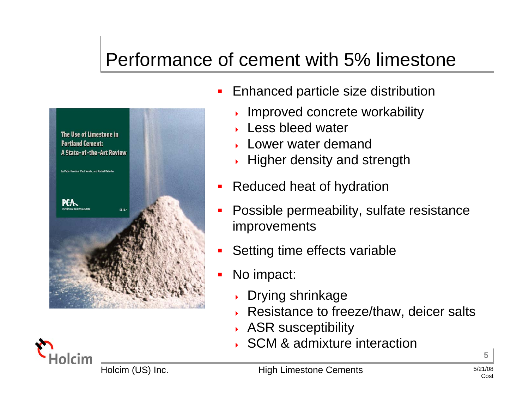# Performance of cement with 5% limestone



- $\blacksquare$  Enhanced particle size distribution
	- ▶ Improved concrete workability
	- ► Less bleed water
	- **Lower water demand**
	- $\cdot$  Higher density and strength
- П Reduced heat of hydration
- П Possible permeability, sulfate resistance improvements
- П Setting time effects variable
- $\blacksquare$  No impact:
	- ▶ Drying shrinkage
	- ▶ Resistance to freeze/thaw, deicer salts
	- **ASR susceptibility**
	- ▶ SCM & admixture interaction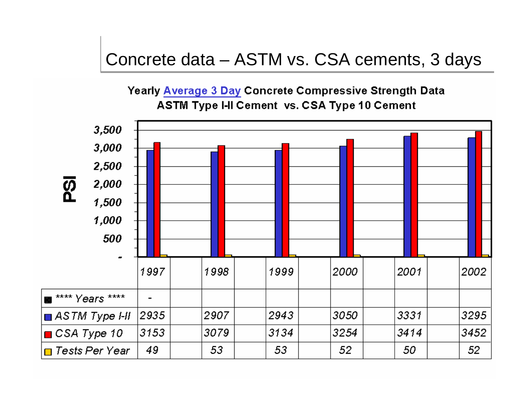### Concrete data – ASTM vs. CSA cements, 3 days

Yearly Average 3 Day Concrete Compressive Strength Data ASTM Type I-II Cement vs. CSA Type 10 Cement

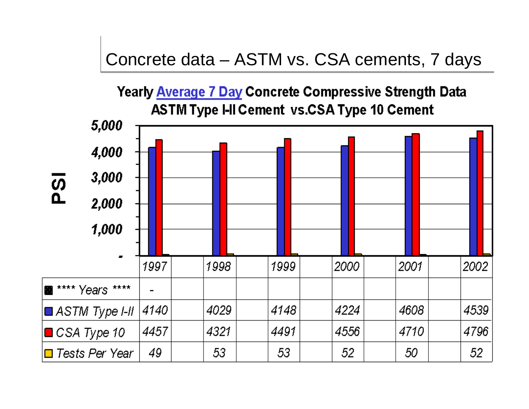### Concrete data – ASTM vs. CSA cements, 7 days

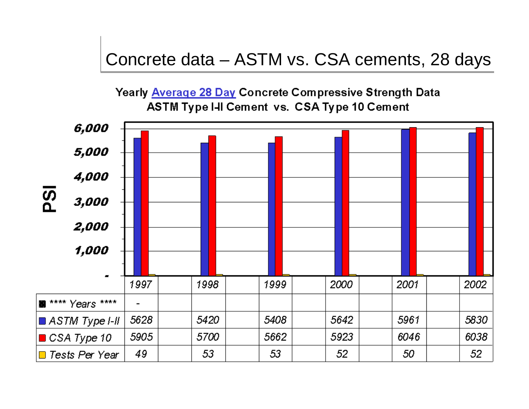### Concrete data – ASTM vs. CSA cements, 28 days

Yearly Average 28 Day Concrete Compressive Strength Data **ASTM Type I-II Cement vs. CSA Type 10 Cement** 

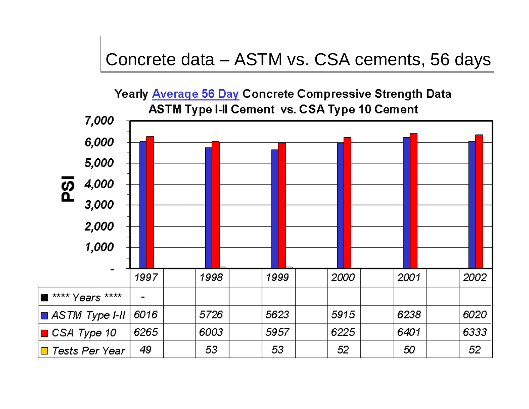### Concrete data – ASTM vs. CSA cements, 56 days

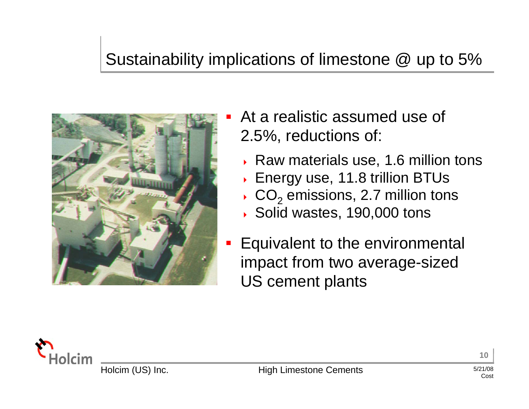### Sustainability implications of limestone @ up to 5%



- П At a realistic assumed use of 2.5%, reductions of:
	- ▸ Raw materials use, 1.6 million tons
	- Energy use, 11.8 trillion BTUs
	- ▶  $\cdot$  CO<sub>2</sub> emissions, 2.7 million tons
	- ▶ Solid wastes, 190,000 tons
- **Equivalent to the environmental** impact from two average-sized US cement plants

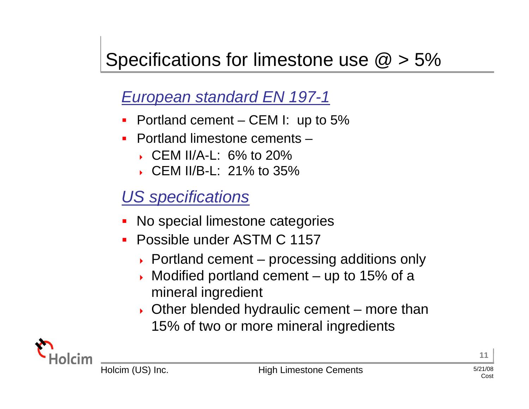# Specifications for limestone use  $\omega > 5\%$

### *European standard EN 197-1*

- П Portland cement – CEM I: up to 5%
- Portland limestone cements –
	- CEM II/A-L: 6% to 20%
	- ▶ CEM II/B-L: 21% to 35%

### *US specifications*

- No special limestone categories
- $\blacksquare$  Possible under ASTM C 1157
	- ▶ Portland cement processing additions only
	- ▶ Modified portland cement – up to 15% of a mineral ingredient
	- ▶ Other blended hydraulic cement – more than 15% of two or more mineral ingredients

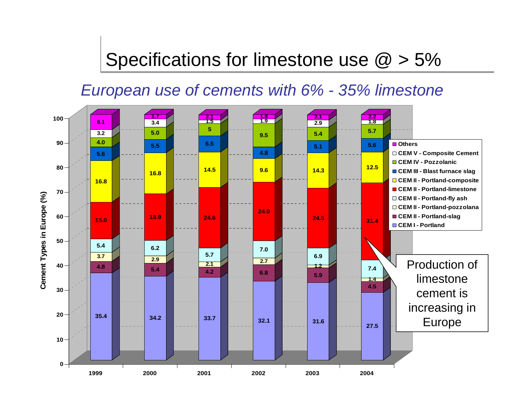### Specifications for limestone use  $\omega > 5\%$

#### *European use of cements with 6% - 35% limestone*

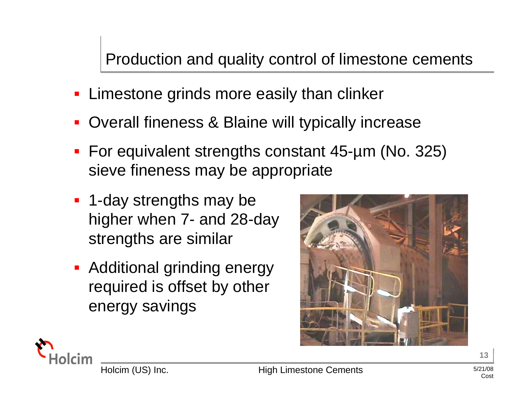#### Production and quality control of limestone cements

- **Example 3 Example 20 Feraily than clinker Example 2**
- b. Overall fineness & Blaine will typically increase
- For equivalent strengths constant 45-µm (No. 325) sieve fineness may be appropriate
- **1-day strengths may be** higher when 7- and 28-day strengths are similar
- **-** Additional grinding energy required is offset by other energy savings



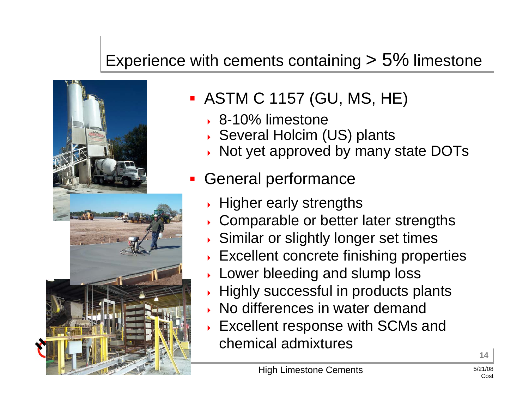### Experience with cements containing  $> 5\%$  limestone



- ASTM C 1157 (GU, MS, HE)
	- 8-10% limestone
	- ▶ Several Holcim (US) plants
	- ▸ Not yet approved by many state DOTs
- T. General performance
	- $\rightarrow$  Higher early strengths
	- Comparable or better later strengths
	- ▶ Similar or slightly longer set times
	- Excellent concrete finishing properties
	- **Lower bleeding and slump loss**
	- $\rightarrow$  Highly successful in products plants
	- ▶ No differences in water demand
	- **Excellent response with SCMs and** chemical admixtures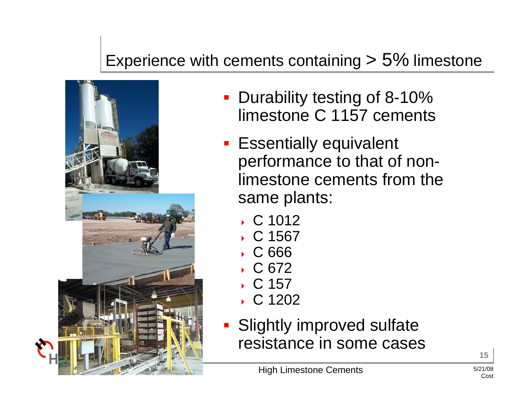### Experience with cements containing  $> 5\%$  limestone



- **Durability testing of 8-10%** limestone C 1157 cements
- **Essentially equivalent** performance to that of nonlimestone cements from the same plants:
	- C 1012
	- C 1567
	- C 666
	- C 672
	- ◆ C 157
	- C 1202
- **Slightly improved sulfate** resistance in some cases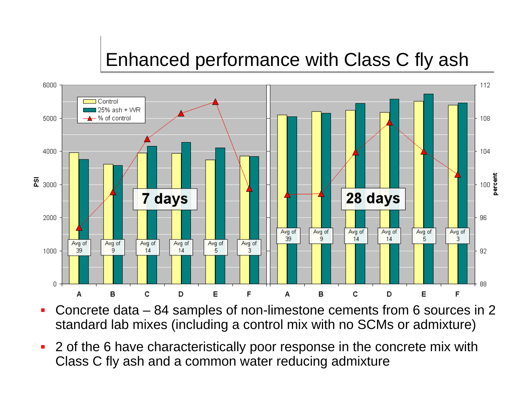

 $\mathbf{u}$  Concrete data – 84 samples of non-limestone cements from 6 sources in 2 standard lab mixes (including a control mix with no SCMs or admixture)

 $\mathcal{L}$  . The cements  $\mathcal{L}$  $\mathcal{L}$  is the contract of  $\mathcal{L}$  increase  $\mathcal{L}$  is the contract of  $\mathcal{L}$ П 2 of the 6 have characteristically poor response in the concrete mix with Class C fly ash and a common water reducing admixture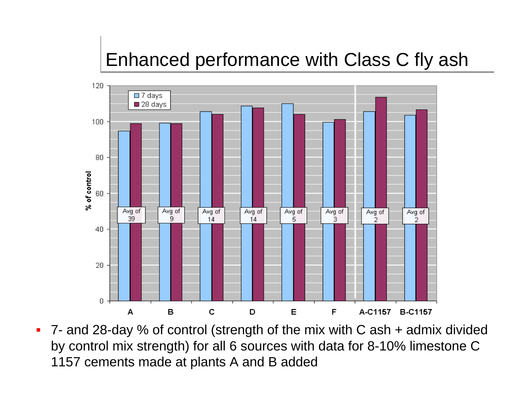

 $\mathbb{R}$  Limestone Cements  $\mathbb{R}$  $H = \frac{1}{2}$  is  $\frac{1}{2}$  in  $\frac{1}{2}$  in  $\frac{1}{2}$  in  $\frac{1}{2}$  in  $\frac{1}{2}$  increases. 7- and 28-day % of control (strength of the mix with C ash + admix divided by control mix strength) for all 6 sources with data for 8-10% limestone C 1157 cements made at plants A and B added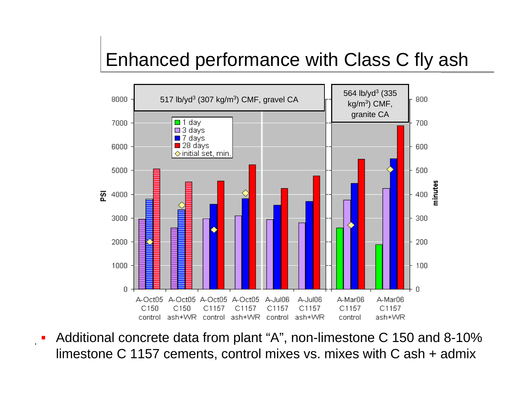

П Additional concrete data from plant "A", non-limestone C 150 and 8-10% limestone C 1157 cements, control mixes vs. mixes with C ash + admix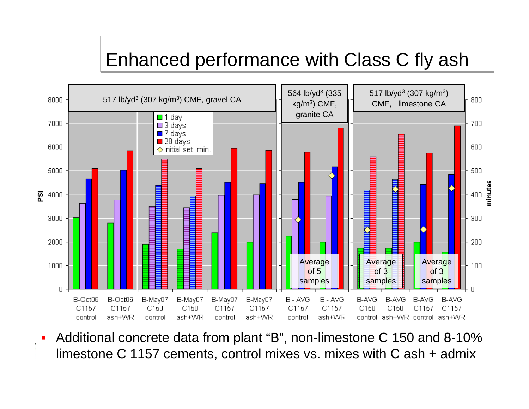

П Additional concrete data from plant "B", non-limestone C 150 and 8-10% limestone C 1157 cements, control mixes vs. mixes with C ash + admix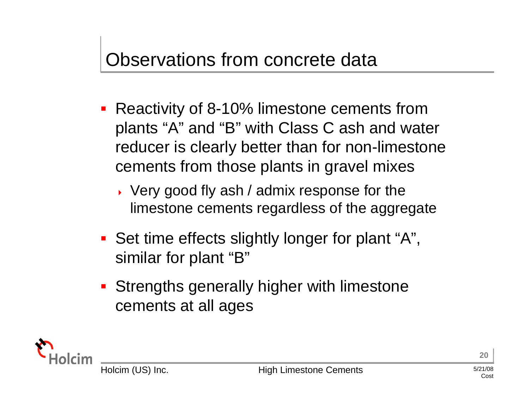# Observations from concrete data

- **Reactivity of 8-10% limestone cements from** plants "A" and "B" with Class C ash and water reducer is clearly better than for non-limestone cements from those plants in gravel mixes
	- Very good fly ash / admix response for the limestone cements regardless of the aggregate
- **Set time effects slightly longer for plant "A",** similar for plant "B"
- **Strengths generally higher with limestone** cements at all ages

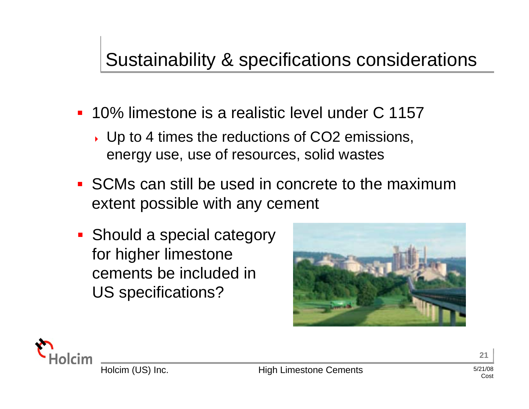# Sustainability & specifications considerations

- 10% limestone is a realistic level under C 1157
	- Up to 4 times the reductions of CO2 emissions, energy use, use of resources, solid wastes
- **SCMs can still be used in concrete to the maximum** extent possible with any cement
- **Should a special category** for higher limestone cements be included in US specifications?



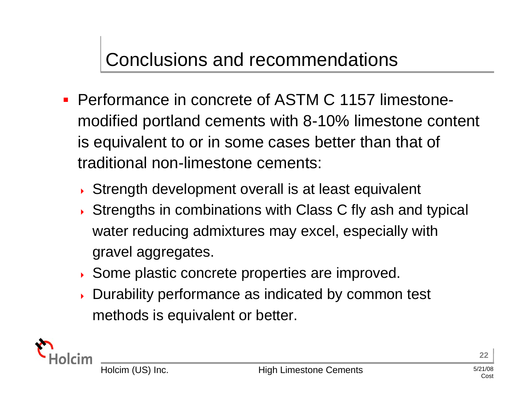## Conclusions and recommendations

- Performance in concrete of ASTM C 1157 limestonemodified portland cements with 8-10% limestone content is equivalent to or in some cases better than that of traditional non-limestone cements:
	- Strength development overall is at least equivalent
	- Strengths in combinations with Class C fly ash and typical water reducing admixtures may excel, especially with gravel aggregates.
	- Some plastic concrete properties are improved.
	- Durability performance as indicated by common test methods is equivalent or better.



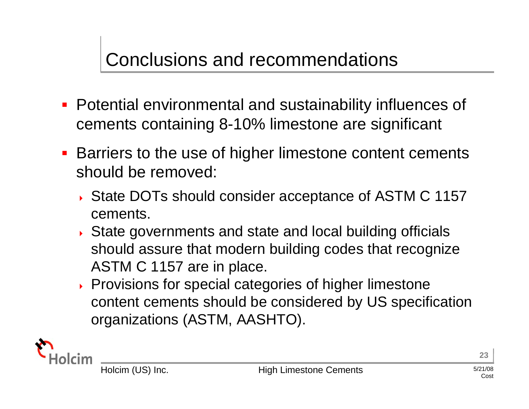# Conclusions and recommendations

- Potential environmental and sustainability influences of cements containing 8-10% limestone are significant
- **Barriers to the use of higher limestone content cements** should be removed:
	- State DOTs should consider acceptance of ASTM C 1157 cements.
	- State governments and state and local building officials should assure that modern building codes that recognize ASTM C 1157 are in place.
	- **Provisions for special categories of higher limestone** content cements should be considered by US specification organizations (ASTM, AASHTO).